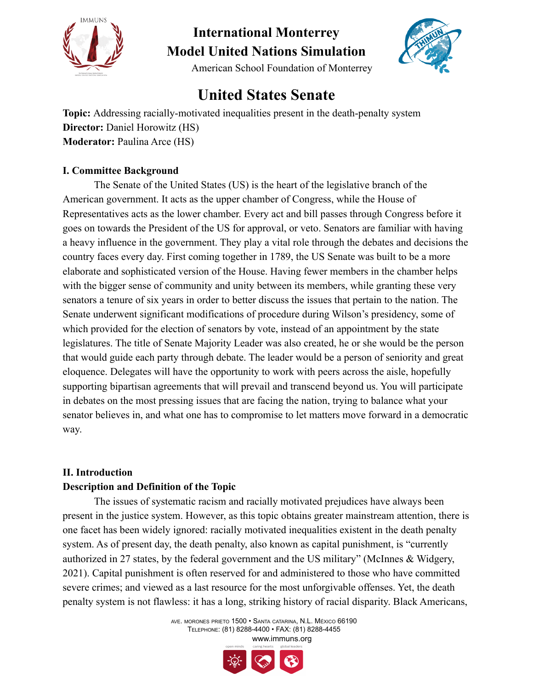

American School Foundation of Monterrey

### **United States Senate**

**Topic:** Addressing racially-motivated inequalities present in the death-penalty system **Director:** Daniel Horowitz (HS) **Moderator:** Paulina Arce (HS)

#### **I. Committee Background**

The Senate of the United States (US) is the heart of the legislative branch of the American government. It acts as the upper chamber of Congress, while the House of Representatives acts as the lower chamber. Every act and bill passes through Congress before it goes on towards the President of the US for approval, or veto. Senators are familiar with having a heavy influence in the government. They play a vital role through the debates and decisions the country faces every day. First coming together in 1789, the US Senate was built to be a more elaborate and sophisticated version of the House. Having fewer members in the chamber helps with the bigger sense of community and unity between its members, while granting these very senators a tenure of six years in order to better discuss the issues that pertain to the nation. The Senate underwent significant modifications of procedure during Wilson's presidency, some of which provided for the election of senators by vote, instead of an appointment by the state legislatures. The title of Senate Majority Leader was also created, he or she would be the person that would guide each party through debate. The leader would be a person of seniority and great eloquence. Delegates will have the opportunity to work with peers across the aisle, hopefully supporting bipartisan agreements that will prevail and transcend beyond us. You will participate in debates on the most pressing issues that are facing the nation, trying to balance what your senator believes in, and what one has to compromise to let matters move forward in a democratic way.

#### **II. Introduction Description and Definition of the Topic**

The issues of systematic racism and racially motivated prejudices have always been present in the justice system. However, as this topic obtains greater mainstream attention, there is one facet has been widely ignored: racially motivated inequalities existent in the death penalty system. As of present day, the death penalty, also known as capital punishment, is "currently authorized in 27 states, by the federal government and the US military" (McInnes & Widgery, 2021). Capital punishment is often reserved for and administered to those who have committed severe crimes; and viewed as a last resource for the most unforgivable offenses. Yet, the death penalty system is not flawless: it has a long, striking history of racial disparity. Black Americans,

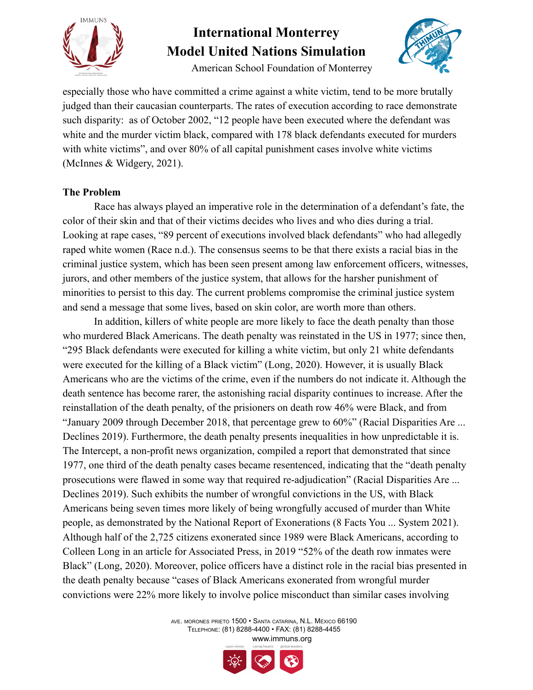

American School Foundation of Monterrey



especially those who have committed a crime against a white victim, tend to be more brutally judged than their caucasian counterparts. The rates of execution according to race demonstrate such disparity: as of October 2002, "12 people have been executed where the defendant was white and the murder victim black, compared with 178 black defendants executed for murders with white victims", and over 80% of all capital punishment cases involve white victims (McInnes & Widgery, 2021).

#### **The Problem**

Race has always played an imperative role in the determination of a defendant's fate, the color of their skin and that of their victims decides who lives and who dies during a trial. Looking at rape cases, "89 percent of executions involved black defendants" who had allegedly raped white women (Race n.d.). The consensus seems to be that there exists a racial bias in the criminal justice system, which has been seen present among law enforcement officers, witnesses, jurors, and other members of the justice system, that allows for the harsher punishment of minorities to persist to this day. The current problems compromise the criminal justice system and send a message that some lives, based on skin color, are worth more than others.

In addition, killers of white people are more likely to face the death penalty than those who murdered Black Americans. The death penalty was reinstated in the US in 1977; since then, "295 Black defendants were executed for killing a white victim, but only 21 white defendants were executed for the killing of a Black victim" (Long, 2020). However, it is usually Black Americans who are the victims of the crime, even if the numbers do not indicate it. Although the death sentence has become rarer, the astonishing racial disparity continues to increase. After the reinstallation of the death penalty, of the prisioners on death row 46% were Black, and from "January 2009 through December 2018, that percentage grew to 60%" (Racial Disparities Are ... Declines 2019). Furthermore, the death penalty presents inequalities in how unpredictable it is. The Intercept, a non-profit news organization, compiled a report that demonstrated that since 1977, one third of the death penalty cases became resentenced, indicating that the "death penalty prosecutions were flawed in some way that required re-adjudication" (Racial Disparities Are ... Declines 2019). Such exhibits the number of wrongful convictions in the US, with Black Americans being seven times more likely of being wrongfully accused of murder than White people, as demonstrated by the National Report of Exonerations (8 Facts You ... System 2021). Although half of the 2,725 citizens exonerated since 1989 were Black Americans, according to Colleen Long in an article for Associated Press, in 2019 "52% of the death row inmates were Black" (Long, 2020). Moreover, police officers have a distinct role in the racial bias presented in the death penalty because "cases of Black Americans exonerated from wrongful murder convictions were 22% more likely to involve police misconduct than similar cases involving

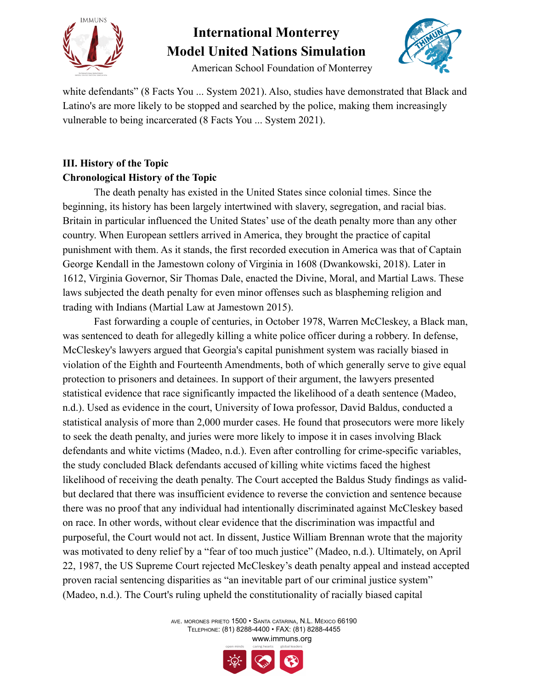

American School Foundation of Monterrey



white defendants" (8 Facts You ... System 2021). Also, studies have demonstrated that Black and Latino's are more likely to be stopped and searched by the police, making them increasingly vulnerable to being incarcerated (8 Facts You ... System 2021).

### **III. History of the Topic Chronological History of the Topic**

The death penalty has existed in the United States since colonial times. Since the beginning, its history has been largely intertwined with slavery, segregation, and racial bias. Britain in particular influenced the United States' use of the death penalty more than any other country. When European settlers arrived in America, they brought the practice of capital punishment with them. As it stands, the first recorded execution in America was that of Captain George Kendall in the Jamestown colony of Virginia in 1608 (Dwankowski, 2018). Later in 1612, Virginia Governor, Sir Thomas Dale, enacted the Divine, Moral, and Martial Laws. These laws subjected the death penalty for even minor offenses such as blaspheming religion and trading with Indians (Martial Law at Jamestown 2015).

Fast forwarding a couple of centuries, in October 1978, Warren McCleskey, a Black man, was sentenced to death for allegedly killing a white police officer during a robbery. In defense, McCleskey's lawyers argued that Georgia's capital punishment system was racially biased in violation of the Eighth and Fourteenth Amendments, both of which generally serve to give equal protection to prisoners and detainees. In support of their argument, the lawyers presented statistical evidence that race significantly impacted the likelihood of a death sentence (Madeo, n.d.). Used as evidence in the court, University of Iowa professor, David Baldus, conducted a statistical analysis of more than 2,000 murder cases. He found that prosecutors were more likely to seek the death penalty, and juries were more likely to impose it in cases involving Black defendants and white victims (Madeo, n.d.). Even after controlling for crime-specific variables, the study concluded Black defendants accused of killing white victims faced the highest likelihood of receiving the death penalty. The Court accepted the Baldus Study findings as validbut declared that there was insufficient evidence to reverse the conviction and sentence because there was no proof that any individual had intentionally discriminated against McCleskey based on race. In other words, without clear evidence that the discrimination was impactful and purposeful, the Court would not act. In dissent, Justice William Brennan wrote that the majority was motivated to deny relief by a "fear of too much justice" (Madeo, n.d.). Ultimately, on April 22, 1987, the US Supreme Court rejected McCleskey's death penalty appeal and instead accepted proven racial sentencing disparities as "an inevitable part of our criminal justice system" (Madeo, n.d.). The Court's ruling upheld the constitutionality of racially biased capital

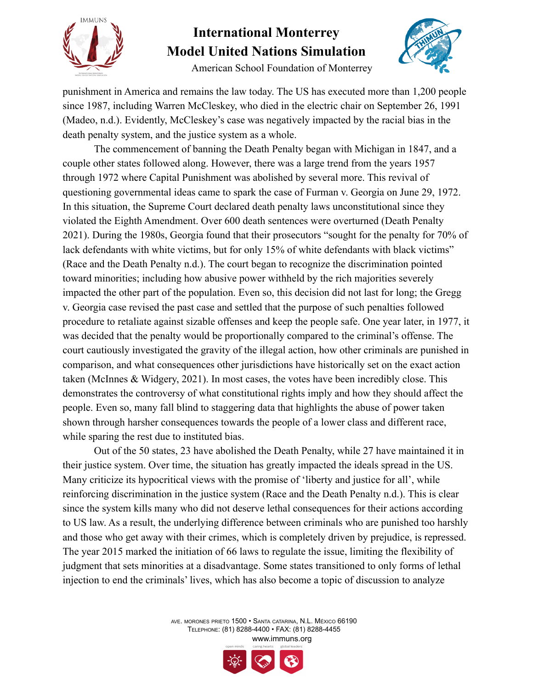



American School Foundation of Monterrey

punishment in America and remains the law today. The US has executed more than 1,200 people since 1987, including Warren McCleskey, who died in the electric chair on September 26, 1991 (Madeo, n.d.). Evidently, McCleskey's case was negatively impacted by the racial bias in the death penalty system, and the justice system as a whole.

The commencement of banning the Death Penalty began with Michigan in 1847, and a couple other states followed along. However, there was a large trend from the years 1957 through 1972 where Capital Punishment was abolished by several more. This revival of questioning governmental ideas came to spark the case of Furman v. Georgia on June 29, 1972. In this situation, the Supreme Court declared death penalty laws unconstitutional since they violated the Eighth Amendment. Over 600 death sentences were overturned (Death Penalty 2021). During the 1980s, Georgia found that their prosecutors "sought for the penalty for 70% of lack defendants with white victims, but for only 15% of white defendants with black victims" (Race and the Death Penalty n.d.). The court began to recognize the discrimination pointed toward minorities; including how abusive power withheld by the rich majorities severely impacted the other part of the population. Even so, this decision did not last for long; the Gregg v. Georgia case revised the past case and settled that the purpose of such penalties followed procedure to retaliate against sizable offenses and keep the people safe. One year later, in 1977, it was decided that the penalty would be proportionally compared to the criminal's offense. The court cautiously investigated the gravity of the illegal action, how other criminals are punished in comparison, and what consequences other jurisdictions have historically set on the exact action taken (McInnes & Widgery, 2021). In most cases, the votes have been incredibly close. This demonstrates the controversy of what constitutional rights imply and how they should affect the people. Even so, many fall blind to staggering data that highlights the abuse of power taken shown through harsher consequences towards the people of a lower class and different race, while sparing the rest due to instituted bias.

Out of the 50 states, 23 have abolished the Death Penalty, while 27 have maintained it in their justice system. Over time, the situation has greatly impacted the ideals spread in the US. Many criticize its hypocritical views with the promise of 'liberty and justice for all', while reinforcing discrimination in the justice system (Race and the Death Penalty n.d.). This is clear since the system kills many who did not deserve lethal consequences for their actions according to US law. As a result, the underlying difference between criminals who are punished too harshly and those who get away with their crimes, which is completely driven by prejudice, is repressed. The year 2015 marked the initiation of 66 laws to regulate the issue, limiting the flexibility of judgment that sets minorities at a disadvantage. Some states transitioned to only forms of lethal injection to end the criminals' lives, which has also become a topic of discussion to analyze

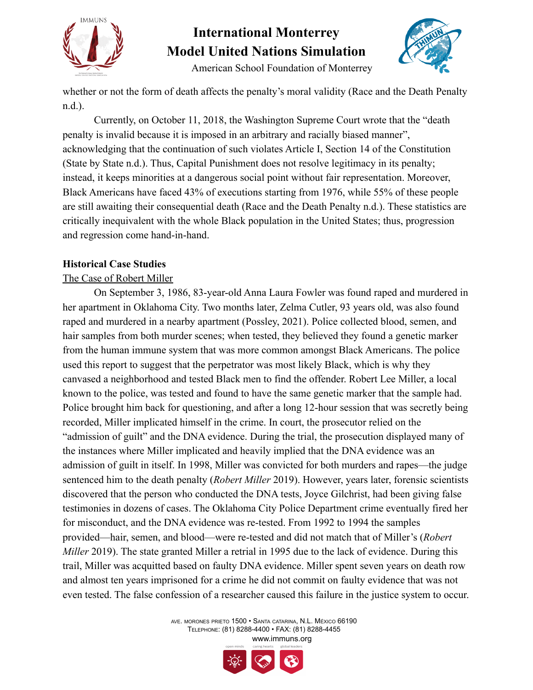



American School Foundation of Monterrey

whether or not the form of death affects the penalty's moral validity (Race and the Death Penalty n.d.).

Currently, on October 11, 2018, the Washington Supreme Court wrote that the "death penalty is invalid because it is imposed in an arbitrary and racially biased manner", acknowledging that the continuation of such violates Article I, Section 14 of the Constitution (State by State n.d.). Thus, Capital Punishment does not resolve legitimacy in its penalty; instead, it keeps minorities at a dangerous social point without fair representation. Moreover, Black Americans have faced 43% of executions starting from 1976, while 55% of these people are still awaiting their consequential death (Race and the Death Penalty n.d.). These statistics are critically inequivalent with the whole Black population in the United States; thus, progression and regression come hand-in-hand.

#### **Historical Case Studies**

#### The Case of Robert Miller

On September 3, 1986, 83-year-old Anna Laura Fowler was found raped and murdered in her apartment in Oklahoma City. Two months later, Zelma Cutler, 93 years old, was also found raped and murdered in a nearby apartment (Possley, 2021). Police collected blood, semen, and hair samples from both murder scenes; when tested, they believed they found a genetic marker from the human immune system that was more common amongst Black Americans. The police used this report to suggest that the perpetrator was most likely Black, which is why they canvased a neighborhood and tested Black men to find the offender. Robert Lee Miller, a local known to the police, was tested and found to have the same genetic marker that the sample had. Police brought him back for questioning, and after a long 12-hour session that was secretly being recorded, Miller implicated himself in the crime. In court, the prosecutor relied on the "admission of guilt" and the DNA evidence. During the trial, the prosecution displayed many of the instances where Miller implicated and heavily implied that the DNA evidence was an admission of guilt in itself. In 1998, Miller was convicted for both murders and rapes—the judge sentenced him to the death penalty (*Robert Miller* 2019). However, years later, forensic scientists discovered that the person who conducted the DNA tests, Joyce Gilchrist, had been giving false testimonies in dozens of cases. The Oklahoma City Police Department crime eventually fired her for misconduct, and the DNA evidence was re-tested. From 1992 to 1994 the samples provided—hair, semen, and blood—were re-tested and did not match that of Miller's (*Robert Miller* 2019). The state granted Miller a retrial in 1995 due to the lack of evidence. During this trail, Miller was acquitted based on faulty DNA evidence. Miller spent seven years on death row and almost ten years imprisoned for a crime he did not commit on faulty evidence that was not even tested. The false confession of a researcher caused this failure in the justice system to occur.

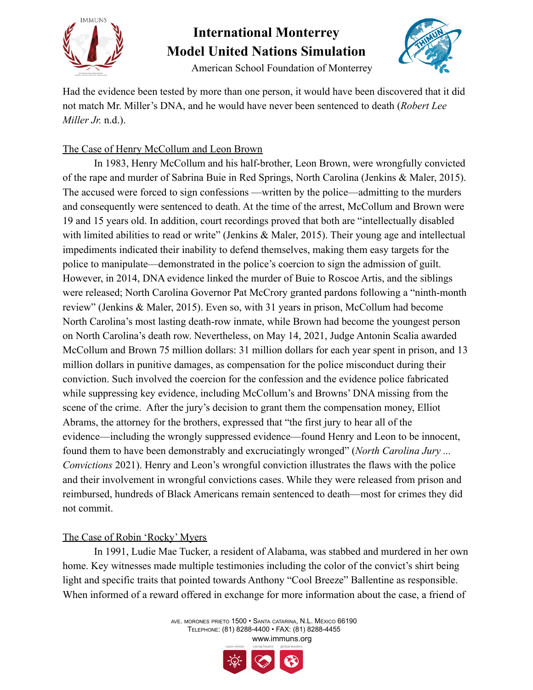



American School Foundation of Monterrey

Had the evidence been tested by more than one person, it would have been discovered that it did not match Mr. Miller's DNA, and he would have never been sentenced to death (*Robert Lee Miller Jr.* n.d.).

#### The Case of Henry McCollum and Leon Brown

In 1983, Henry McCollum and his half-brother, Leon Brown, were wrongfully convicted of the rape and murder of Sabrina Buie in Red Springs, North Carolina (Jenkins & Maler, 2015). The accused were forced to sign confessions —written by the police—admitting to the murders and consequently were sentenced to death. At the time of the arrest, McCollum and Brown were 19 and 15 years old. In addition, court recordings proved that both are "intellectually disabled with limited abilities to read or write" (Jenkins & Maler, 2015). Their young age and intellectual impediments indicated their inability to defend themselves, making them easy targets for the police to manipulate—demonstrated in the police's coercion to sign the admission of guilt. However, in 2014, DNA evidence linked the murder of Buie to Roscoe Artis, and the siblings were released; North Carolina Governor Pat McCrory granted pardons following a "ninth-month review" (Jenkins & Maler, 2015). Even so, with 31 years in prison, McCollum had become North Carolina's most lasting death-row inmate, while Brown had become the youngest person on North Carolina's death row. Nevertheless, on May 14, 2021, Judge Antonin Scalia awarded McCollum and Brown 75 million dollars: 31 million dollars for each year spent in prison, and 13 million dollars in punitive damages, as compensation for the police misconduct during their conviction. Such involved the coercion for the confession and the evidence police fabricated while suppressing key evidence, including McCollum's and Browns' DNA missing from the scene of the crime. After the jury's decision to grant them the compensation money, Elliot Abrams, the attorney for the brothers, expressed that "the first jury to hear all of the evidence—including the wrongly suppressed evidence—found Henry and Leon to be innocent, found them to have been demonstrably and excruciatingly wronged" (*North Carolina Jury ... Convictions* 2021). Henry and Leon's wrongful conviction illustrates the flaws with the police and their involvement in wrongful convictions cases. While they were released from prison and reimbursed, hundreds of Black Americans remain sentenced to death—most for crimes they did not commit.

#### The Case of Robin 'Rocky' Myers

In 1991, Ludie Mae Tucker, a resident of Alabama, was stabbed and murdered in her own home. Key witnesses made multiple testimonies including the color of the convict's shirt being light and specific traits that pointed towards Anthony "Cool Breeze" Ballentine as responsible. When informed of a reward offered in exchange for more information about the case, a friend of

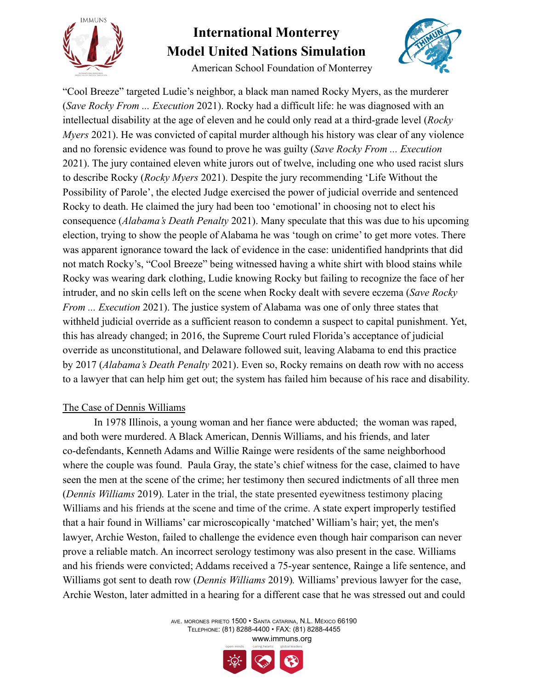

American School Foundation of Monterrey



"Cool Breeze" targeted Ludie's neighbor, a black man named Rocky Myers, as the murderer (*Save Rocky From ... Execution* 2021). Rocky had a difficult life: he was diagnosed with an intellectual disability at the age of eleven and he could only read at a third-grade level (*Rocky Myers* 2021). He was convicted of capital murder although his history was clear of any violence and no forensic evidence was found to prove he was guilty (*Save Rocky From ... Execution* 2021). The jury contained eleven white jurors out of twelve, including one who used racist slurs to describe Rocky (*Rocky Myers* 2021). Despite the jury recommending 'Life Without the Possibility of Parole', the elected Judge exercised the power of judicial override and sentenced Rocky to death. He claimed the jury had been too 'emotional' in choosing not to elect his consequence (*Alabama's Death Penalty* 2021). Many speculate that this was due to his upcoming election, trying to show the people of Alabama he was 'tough on crime' to get more votes. There was apparent ignorance toward the lack of evidence in the case: unidentified handprints that did not match Rocky's, "Cool Breeze" being witnessed having a white shirt with blood stains while Rocky was wearing dark clothing, Ludie knowing Rocky but failing to recognize the face of her intruder, and no skin cells left on the scene when Rocky dealt with severe eczema (*Save Rocky From ... Execution* 2021). The justice system of Alabama was one of only three states that withheld judicial override as a sufficient reason to condemn a suspect to capital punishment. Yet, this has already changed; in 2016, the Supreme Court ruled Florida's acceptance of judicial override as unconstitutional, and Delaware followed suit, leaving Alabama to end this practice by 2017 (*Alabama's Death Penalty* 2021). Even so, Rocky remains on death row with no access to a lawyer that can help him get out; the system has failed him because of his race and disability.

#### The Case of Dennis Williams

In 1978 Illinois, a young woman and her fiance were abducted; the woman was raped, and both were murdered. A Black American, Dennis Williams, and his friends, and later co-defendants, Kenneth Adams and Willie Rainge were residents of the same neighborhood where the couple was found. Paula Gray, the state's chief witness for the case, claimed to have seen the men at the scene of the crime; her testimony then secured indictments of all three men (*Dennis Williams* 2019)*.* Later in the trial, the state presented eyewitness testimony placing Williams and his friends at the scene and time of the crime. A state expert improperly testified that a hair found in Williams' car microscopically 'matched' William's hair; yet, the men's lawyer, Archie Weston, failed to challenge the evidence even though hair comparison can never prove a reliable match. An incorrect serology testimony was also present in the case. Williams and his friends were convicted; Addams received a 75-year sentence, Rainge a life sentence, and Williams got sent to death row (*Dennis Williams* 2019)*.* Williams' previous lawyer for the case, Archie Weston, later admitted in a hearing for a different case that he was stressed out and could

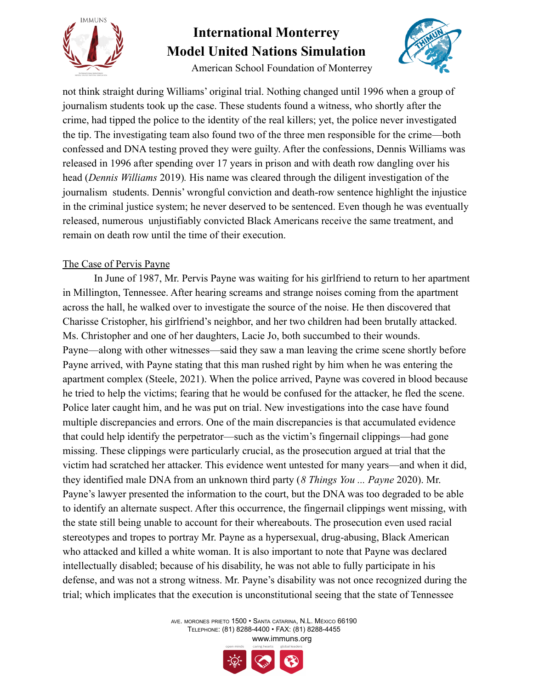



American School Foundation of Monterrey

not think straight during Williams' original trial. Nothing changed until 1996 when a group of journalism students took up the case. These students found a witness, who shortly after the crime, had tipped the police to the identity of the real killers; yet, the police never investigated the tip. The investigating team also found two of the three men responsible for the crime—both confessed and DNA testing proved they were guilty. After the confessions, Dennis Williams was released in 1996 after spending over 17 years in prison and with death row dangling over his head (*Dennis Williams* 2019)*.* His name was cleared through the diligent investigation of the journalism students. Dennis' wrongful conviction and death-row sentence highlight the injustice in the criminal justice system; he never deserved to be sentenced. Even though he was eventually released, numerous unjustifiably convicted Black Americans receive the same treatment, and remain on death row until the time of their execution.

#### The Case of Pervis Payne

In June of 1987, Mr. Pervis Payne was waiting for his girlfriend to return to her apartment in Millington, Tennessee. After hearing screams and strange noises coming from the apartment across the hall, he walked over to investigate the source of the noise. He then discovered that Charisse Cristopher, his girlfriend's neighbor, and her two children had been brutally attacked. Ms. Christopher and one of her daughters, Lacie Jo, both succumbed to their wounds. Payne—along with other witnesses—said they saw a man leaving the crime scene shortly before Payne arrived, with Payne stating that this man rushed right by him when he was entering the apartment complex (Steele, 2021). When the police arrived, Payne was covered in blood because he tried to help the victims; fearing that he would be confused for the attacker, he fled the scene. Police later caught him, and he was put on trial. New investigations into the case have found multiple discrepancies and errors. One of the main discrepancies is that accumulated evidence that could help identify the perpetrator—such as the victim's fingernail clippings—had gone missing. These clippings were particularly crucial, as the prosecution argued at trial that the victim had scratched her attacker. This evidence went untested for many years—and when it did, they identified male DNA from an unknown third party (*8 Things You ... Payne* 2020). Mr. Payne's lawyer presented the information to the court, but the DNA was too degraded to be able to identify an alternate suspect. After this occurrence, the fingernail clippings went missing, with the state still being unable to account for their whereabouts. The prosecution even used racial stereotypes and tropes to portray Mr. Payne as a hypersexual, drug-abusing, Black American who attacked and killed a white woman. It is also important to note that Payne was declared intellectually disabled; because of his disability, he was not able to fully participate in his defense, and was not a strong witness. Mr. Payne's disability was not once recognized during the trial; which implicates that the execution is unconstitutional seeing that the state of Tennessee

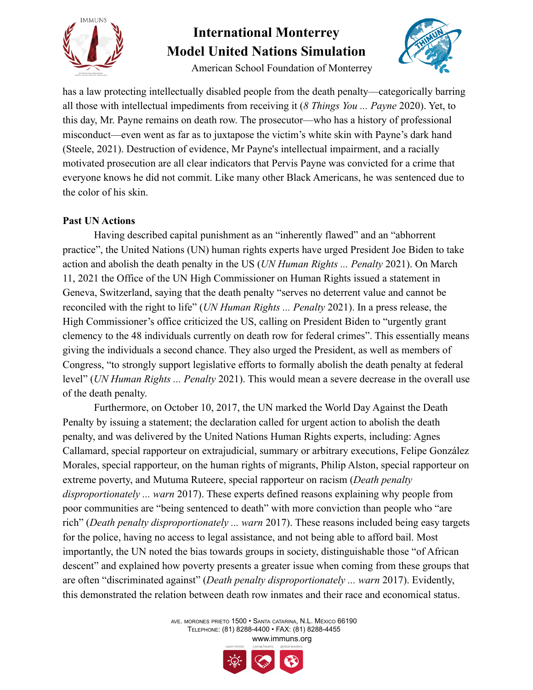

American School Foundation of Monterrey



has a law protecting intellectually disabled people from the death penalty—categorically barring all those with intellectual impediments from receiving it (*8 Things You ... Payne* 2020). Yet, to this day, Mr. Payne remains on death row. The prosecutor—who has a history of professional misconduct—even went as far as to juxtapose the victim's white skin with Payne's dark hand (Steele, 2021). Destruction of evidence, Mr Payne's intellectual impairment, and a racially motivated prosecution are all clear indicators that Pervis Payne was convicted for a crime that everyone knows he did not commit. Like many other Black Americans, he was sentenced due to the color of his skin.

#### **Past UN Actions**

Having described capital punishment as an "inherently flawed" and an "abhorrent practice", the United Nations (UN) human rights experts have urged President Joe Biden to take action and abolish the death penalty in the US (*UN Human Rights ... Penalty* 2021). On March 11, 2021 the Office of the UN High Commissioner on Human Rights issued a statement in Geneva, Switzerland, saying that the death penalty "serves no deterrent value and cannot be reconciled with the right to life" (*UN Human Rights ... Penalty* 2021). In a press release, the High Commissioner's office criticized the US, calling on President Biden to "urgently grant clemency to the 48 individuals currently on death row for federal crimes". This essentially means giving the individuals a second chance. They also urged the President, as well as members of Congress, "to strongly support legislative efforts to formally abolish the death penalty at federal level" (*UN Human Rights ... Penalty* 2021). This would mean a severe decrease in the overall use of the death penalty.

Furthermore, on October 10, 2017, the UN marked the World Day Against the Death Penalty by issuing a statement; the declaration called for urgent action to abolish the death penalty, and was delivered by the United Nations Human Rights experts, including: Agnes Callamard, special rapporteur on extrajudicial, summary or arbitrary executions, Felipe González Morales, special rapporteur, on the human rights of migrants, Philip Alston, special rapporteur on extreme poverty, and Mutuma Ruteere, special rapporteur on racism (*Death penalty disproportionately ... warn* 2017). These experts defined reasons explaining why people from poor communities are "being sentenced to death" with more conviction than people who "are rich" (*Death penalty disproportionately ... warn* 2017). These reasons included being easy targets for the police, having no access to legal assistance, and not being able to afford bail. Most importantly, the UN noted the bias towards groups in society, distinguishable those "of African descent" and explained how poverty presents a greater issue when coming from these groups that are often "discriminated against" (*Death penalty disproportionately ... warn* 2017). Evidently, this demonstrated the relation between death row inmates and their race and economical status.

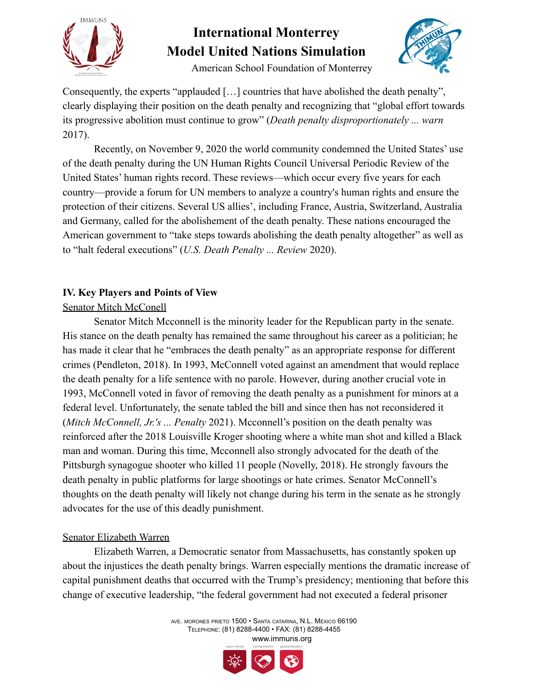



American School Foundation of Monterrey

Consequently, the experts "applauded […] countries that have abolished the death penalty", clearly displaying their position on the death penalty and recognizing that "global effort towards its progressive abolition must continue to grow" (*Death penalty disproportionately ... warn* 2017).

Recently, on November 9, 2020 the world community condemned the United States' use of the death penalty during the UN Human Rights Council Universal Periodic Review of the United States' human rights record. These reviews—which occur every five years for each country—provide a forum for UN members to analyze a country's human rights and ensure the protection of their citizens. Several US allies', including France, Austria, Switzerland, Australia and Germany, called for the abolishement of the death penalty. These nations encouraged the American government to "take steps towards abolishing the death penalty altogether" as well as to "halt federal executions" (*U.S. Death Penalty ... Review* 2020).

#### **IV. Key Players and Points of View**

#### Senator Mitch McConell

Senator Mitch Mcconnell is the minority leader for the Republican party in the senate. His stance on the death penalty has remained the same throughout his career as a politician; he has made it clear that he "embraces the death penalty" as an appropriate response for different crimes (Pendleton, 2018). In 1993, McConnell voted against an amendment that would replace the death penalty for a life sentence with no parole. However, during another crucial vote in 1993, McConnell voted in favor of removing the death penalty as a punishment for minors at a federal level. Unfortunately, the senate tabled the bill and since then has not reconsidered it (*Mitch McConnell, Jr.'s ... Penalty* 2021). Mcconnell's position on the death penalty was reinforced after the 2018 Louisville Kroger shooting where a white man shot and killed a Black man and woman. During this time, Mcconnell also strongly advocated for the death of the Pittsburgh synagogue shooter who killed 11 people (Novelly, 2018). He strongly favours the death penalty in public platforms for large shootings or hate crimes. Senator McConnell's thoughts on the death penalty will likely not change during his term in the senate as he strongly advocates for the use of this deadly punishment.

#### Senator Elizabeth Warren

Elizabeth Warren, a Democratic senator from Massachusetts, has constantly spoken up about the injustices the death penalty brings. Warren especially mentions the dramatic increase of capital punishment deaths that occurred with the Trump's presidency; mentioning that before this change of executive leadership, "the federal government had not executed a federal prisoner

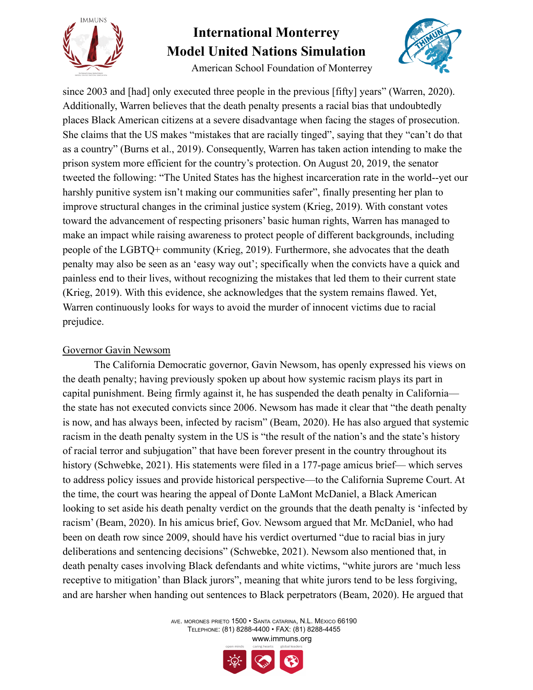



American School Foundation of Monterrey

since 2003 and [had] only executed three people in the previous [fifty] years" (Warren, 2020). Additionally, Warren believes that the death penalty presents a racial bias that undoubtedly places Black American citizens at a severe disadvantage when facing the stages of prosecution. She claims that the US makes "mistakes that are racially tinged", saying that they "can't do that as a country" (Burns et al., 2019). Consequently, Warren has taken action intending to make the prison system more efficient for the country's protection. On August 20, 2019, the senator tweeted the following: "The United States has the highest incarceration rate in the world--yet our harshly punitive system isn't making our communities safer", finally presenting her plan to improve structural changes in the criminal justice system (Krieg, 2019). With constant votes toward the advancement of respecting prisoners' basic human rights, Warren has managed to make an impact while raising awareness to protect people of different backgrounds, including people of the LGBTQ+ community (Krieg, 2019). Furthermore, she advocates that the death penalty may also be seen as an 'easy way out'; specifically when the convicts have a quick and painless end to their lives, without recognizing the mistakes that led them to their current state (Krieg, 2019). With this evidence, she acknowledges that the system remains flawed. Yet, Warren continuously looks for ways to avoid the murder of innocent victims due to racial prejudice.

#### Governor Gavin Newsom

The California Democratic governor, Gavin Newsom, has openly expressed his views on the death penalty; having previously spoken up about how systemic racism plays its part in capital punishment. Being firmly against it, he has suspended the death penalty in California the state has not executed convicts since 2006. Newsom has made it clear that "the death penalty is now, and has always been, infected by racism" (Beam, 2020). He has also argued that systemic racism in the death penalty system in the US is "the result of the nation's and the state's history of racial terror and subjugation" that have been forever present in the country throughout its history (Schwebke, 2021). His statements were filed in a 177-page amicus brief— which serves to address policy issues and provide historical perspective—to the California Supreme Court. At the time, the court was hearing the appeal of Donte LaMont McDaniel, a Black American looking to set aside his death penalty verdict on the grounds that the death penalty is 'infected by racism' (Beam, 2020). In his amicus brief, Gov. Newsom argued that Mr. McDaniel, who had been on death row since 2009, should have his verdict overturned "due to racial bias in jury deliberations and sentencing decisions" (Schwebke, 2021). Newsom also mentioned that, in death penalty cases involving Black defendants and white victims, "white jurors are 'much less receptive to mitigation' than Black jurors", meaning that white jurors tend to be less forgiving, and are harsher when handing out sentences to Black perpetrators (Beam, 2020). He argued that

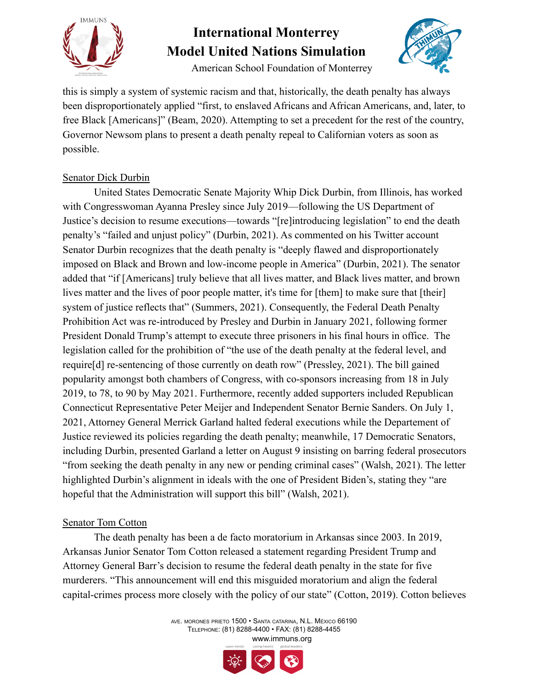

American School Foundation of Monterrey



this is simply a system of systemic racism and that, historically, the death penalty has always been disproportionately applied "first, to enslaved Africans and African Americans, and, later, to free Black [Americans]" (Beam, 2020). Attempting to set a precedent for the rest of the country, Governor Newsom plans to present a death penalty repeal to Californian voters as soon as possible.

#### Senator Dick Durbin

United States Democratic Senate Majority Whip Dick Durbin, from Illinois, has worked with Congresswoman Ayanna Presley since July 2019—following the US Department of Justice's decision to resume executions—towards "[re]introducing legislation" to end the death penalty's "failed and unjust policy" (Durbin, 2021). As commented on his Twitter account Senator Durbin recognizes that the death penalty is "deeply flawed and disproportionately imposed on Black and Brown and low-income people in America" (Durbin, 2021). The senator added that "if [Americans] truly believe that all lives matter, and Black lives matter, and brown lives matter and the lives of poor people matter, it's time for [them] to make sure that [their] system of justice reflects that" (Summers, 2021). Consequently, the Federal Death Penalty Prohibition Act was re-introduced by Presley and Durbin in January 2021, following former President Donald Trump's attempt to execute three prisoners in his final hours in office. The legislation called for the prohibition of "the use of the death penalty at the federal level, and require[d] re-sentencing of those currently on death row" (Pressley, 2021). The bill gained popularity amongst both chambers of Congress, with co-sponsors increasing from 18 in July 2019, to 78, to 90 by May 2021. Furthermore, recently added supporters included Republican Connecticut Representative Peter Meijer and Independent Senator Bernie Sanders. On July 1, 2021, Attorney General Merrick Garland halted federal executions while the Departement of Justice reviewed its policies regarding the death penalty; meanwhile, 17 Democratic Senators, including Durbin, presented Garland a letter on August 9 insisting on barring federal prosecutors "from seeking the death penalty in any new or pending criminal cases" (Walsh, 2021). The letter highlighted Durbin's alignment in ideals with the one of President Biden's, stating they "are hopeful that the Administration will support this bill" (Walsh, 2021).

#### Senator Tom Cotton

The death penalty has been a de facto moratorium in Arkansas since 2003. In 2019, Arkansas Junior Senator Tom Cotton released a statement regarding President Trump and Attorney General Barr's decision to resume the federal death penalty in the state for five murderers. "This announcement will end this misguided moratorium and align the federal capital-crimes process more closely with the policy of our state" (Cotton, 2019). Cotton believes

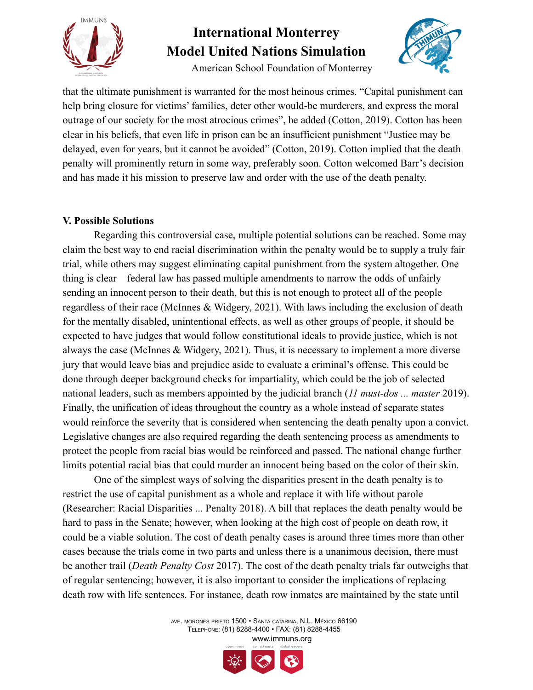

American School Foundation of Monterrey



that the ultimate punishment is warranted for the most heinous crimes. "Capital punishment can help bring closure for victims' families, deter other would-be murderers, and express the moral outrage of our society for the most atrocious crimes", he added (Cotton, 2019). Cotton has been clear in his beliefs, that even life in prison can be an insufficient punishment "Justice may be delayed, even for years, but it cannot be avoided" (Cotton, 2019). Cotton implied that the death penalty will prominently return in some way, preferably soon. Cotton welcomed Barr's decision and has made it his mission to preserve law and order with the use of the death penalty.

#### **V. Possible Solutions**

Regarding this controversial case, multiple potential solutions can be reached. Some may claim the best way to end racial discrimination within the penalty would be to supply a truly fair trial, while others may suggest eliminating capital punishment from the system altogether. One thing is clear—federal law has passed multiple amendments to narrow the odds of unfairly sending an innocent person to their death, but this is not enough to protect all of the people regardless of their race (McInnes & Widgery, 2021). With laws including the exclusion of death for the mentally disabled, unintentional effects, as well as other groups of people, it should be expected to have judges that would follow constitutional ideals to provide justice, which is not always the case (McInnes & Widgery, 2021). Thus, it is necessary to implement a more diverse jury that would leave bias and prejudice aside to evaluate a criminal's offense. This could be done through deeper background checks for impartiality, which could be the job of selected national leaders, such as members appointed by the judicial branch (*11 must-dos ... master* 2019). Finally, the unification of ideas throughout the country as a whole instead of separate states would reinforce the severity that is considered when sentencing the death penalty upon a convict. Legislative changes are also required regarding the death sentencing process as amendments to protect the people from racial bias would be reinforced and passed. The national change further limits potential racial bias that could murder an innocent being based on the color of their skin.

One of the simplest ways of solving the disparities present in the death penalty is to restrict the use of capital punishment as a whole and replace it with life without parole (Researcher: Racial Disparities ... Penalty 2018). A bill that replaces the death penalty would be hard to pass in the Senate; however, when looking at the high cost of people on death row, it could be a viable solution. The cost of death penalty cases is around three times more than other cases because the trials come in two parts and unless there is a unanimous decision, there must be another trail (*Death Penalty Cost* 2017). The cost of the death penalty trials far outweighs that of regular sentencing; however, it is also important to consider the implications of replacing death row with life sentences. For instance, death row inmates are maintained by the state until

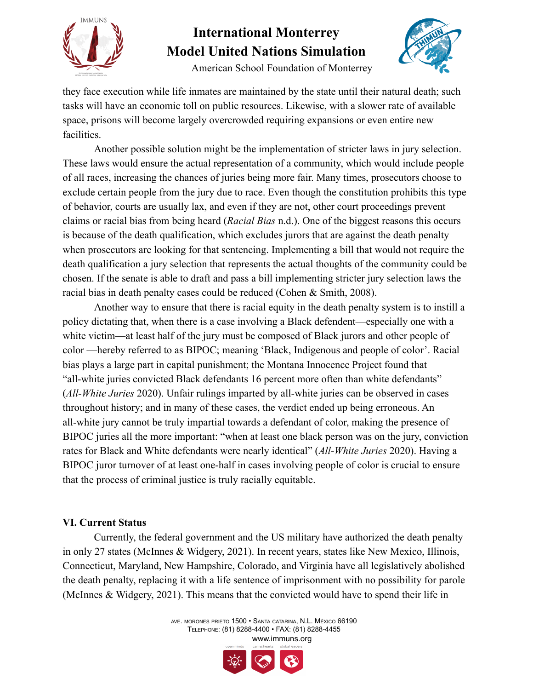



American School Foundation of Monterrey

they face execution while life inmates are maintained by the state until their natural death; such tasks will have an economic toll on public resources. Likewise, with a slower rate of available space, prisons will become largely overcrowded requiring expansions or even entire new facilities.

Another possible solution might be the implementation of stricter laws in jury selection. These laws would ensure the actual representation of a community, which would include people of all races, increasing the chances of juries being more fair. Many times, prosecutors choose to exclude certain people from the jury due to race. Even though the constitution prohibits this type of behavior, courts are usually lax, and even if they are not, other court proceedings prevent claims or racial bias from being heard (*Racial Bias* n.d.). One of the biggest reasons this occurs is because of the death qualification, which excludes jurors that are against the death penalty when prosecutors are looking for that sentencing. Implementing a bill that would not require the death qualification a jury selection that represents the actual thoughts of the community could be chosen. If the senate is able to draft and pass a bill implementing stricter jury selection laws the racial bias in death penalty cases could be reduced (Cohen & Smith, 2008).

Another way to ensure that there is racial equity in the death penalty system is to instill a policy dictating that, when there is a case involving a Black defendent—especially one with a white victim—at least half of the jury must be composed of Black jurors and other people of color —hereby referred to as BIPOC; meaning 'Black, Indigenous and people of color'. Racial bias plays a large part in capital punishment; the Montana Innocence Project found that "all-white juries convicted Black defendants 16 percent more often than white defendants" (*All-White Juries* 2020). Unfair rulings imparted by all-white juries can be observed in cases throughout history; and in many of these cases, the verdict ended up being erroneous. An all-white jury cannot be truly impartial towards a defendant of color, making the presence of BIPOC juries all the more important: "when at least one black person was on the jury, conviction rates for Black and White defendants were nearly identical" (*All-White Juries* 2020). Having a BIPOC juror turnover of at least one-half in cases involving people of color is crucial to ensure that the process of criminal justice is truly racially equitable.

#### **VI. Current Status**

Currently, the federal government and the US military have authorized the death penalty in only 27 states (McInnes & Widgery, 2021). In recent years, states like New Mexico, Illinois, Connecticut, Maryland, New Hampshire, Colorado, and Virginia have all legislatively abolished the death penalty, replacing it with a life sentence of imprisonment with no possibility for parole (McInnes & Widgery, 2021). This means that the convicted would have to spend their life in

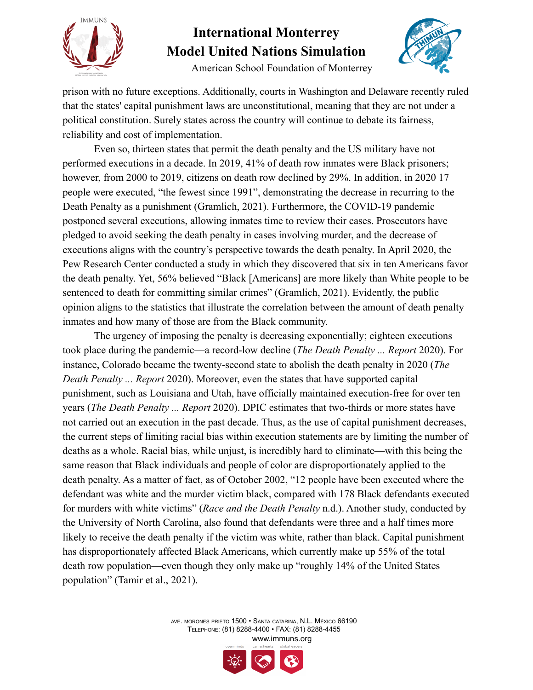

American School Foundation of Monterrey

prison with no future exceptions. Additionally, courts in Washington and Delaware recently ruled that the states' capital punishment laws are unconstitutional, meaning that they are not under a political constitution. Surely states across the country will continue to debate its fairness, reliability and cost of implementation.

Even so, thirteen states that permit the death penalty and the US military have not performed executions in a decade. In 2019, 41% of death row inmates were Black prisoners; however, from 2000 to 2019, citizens on death row declined by 29%. In addition, in 2020 17 people were executed, "the fewest since 1991", demonstrating the decrease in recurring to the Death Penalty as a punishment (Gramlich, 2021). Furthermore, the COVID-19 pandemic postponed several executions, allowing inmates time to review their cases. Prosecutors have pledged to avoid seeking the death penalty in cases involving murder, and the decrease of executions aligns with the country's perspective towards the death penalty. In April 2020, the Pew Research Center conducted a study in which they discovered that six in ten Americans favor the death penalty. Yet, 56% believed "Black [Americans] are more likely than White people to be sentenced to death for committing similar crimes" (Gramlich, 2021). Evidently, the public opinion aligns to the statistics that illustrate the correlation between the amount of death penalty inmates and how many of those are from the Black community.

The urgency of imposing the penalty is decreasing exponentially; eighteen executions took place during the pandemic—a record-low decline (*The Death Penalty ... Report* 2020). For instance, Colorado became the twenty-second state to abolish the death penalty in 2020 (*The Death Penalty ... Report* 2020). Moreover, even the states that have supported capital punishment, such as Louisiana and Utah, have officially maintained execution-free for over ten years (*The Death Penalty ... Report* 2020). DPIC estimates that two-thirds or more states have not carried out an execution in the past decade. Thus, as the use of capital punishment decreases, the current steps of limiting racial bias within execution statements are by limiting the number of deaths as a whole. Racial bias, while unjust, is incredibly hard to eliminate—with this being the same reason that Black individuals and people of color are disproportionately applied to the death penalty. As a matter of fact, as of October 2002, "12 people have been executed where the defendant was white and the murder victim black, compared with 178 Black defendants executed for murders with white victims" (*Race and the Death Penalty* n.d.). Another study, conducted by the University of North Carolina, also found that defendants were three and a half times more likely to receive the death penalty if the victim was white, rather than black. Capital punishment has disproportionately affected Black Americans, which currently make up 55% of the total death row population—even though they only make up "roughly 14% of the United States population" (Tamir et al., 2021).

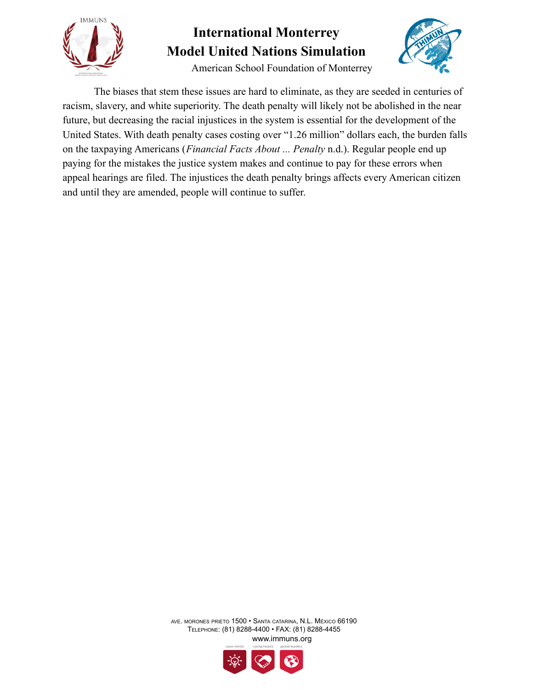



American School Foundation of Monterrey

The biases that stem these issues are hard to eliminate, as they are seeded in centuries of racism, slavery, and white superiority. The death penalty will likely not be abolished in the near future, but decreasing the racial injustices in the system is essential for the development of the United States. With death penalty cases costing over "1.26 million" dollars each, the burden falls on the taxpaying Americans (*Financial Facts About ... Penalty* n.d.). Regular people end up paying for the mistakes the justice system makes and continue to pay for these errors when appeal hearings are filed. The injustices the death penalty brings affects every American citizen and until they are amended, people will continue to suffer.

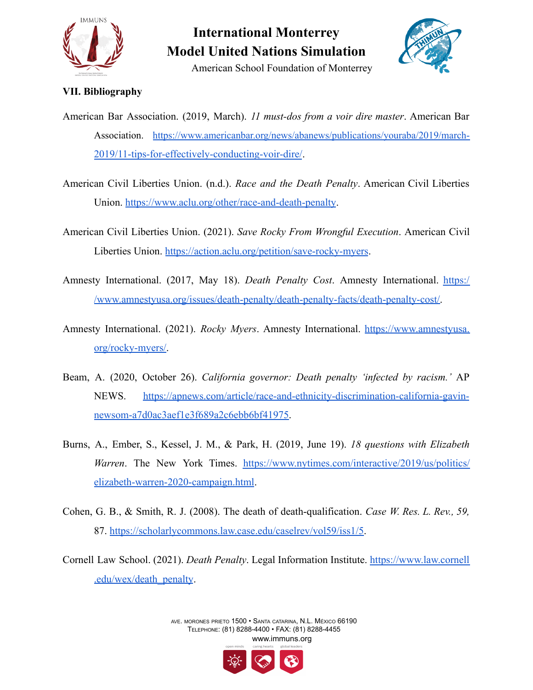

American School Foundation of Monterrey



#### **VII. Bibliography**

- American Bar Association. (2019, March). *11 must-dos from a voir dire master*. American Bar Association. [https://www.americanbar.org/news/abanews/publications/youraba/2019/march-](https://www.americanbar.org/news/abanews/publications/youraba/2019/march-2019/11-tips-for-effectively-conducting-voir-dire/)[2019/11-tips-for-effectively-conducting-voir-dire/](https://www.americanbar.org/news/abanews/publications/youraba/2019/march-2019/11-tips-for-effectively-conducting-voir-dire/).
- American Civil Liberties Union. (n.d.). *Race and the Death Penalty*. American Civil Liberties Union. <https://www.aclu.org/other/race-and-death-penalty>.
- American Civil Liberties Union. (2021). *Save Rocky From Wrongful Execution*. American Civil Liberties Union. <https://action.aclu.org/petition/save-rocky-myers>.
- Amnesty International. (2017, May 18). *Death Penalty Cost*. Amnesty International. [https:/](https://www.amnestyusa.org/issues/death-penalty/death-penalty-facts/death-penalty-cost/) [/www.amnestyusa.org/issues/death-penalty/death-penalty-facts/death-penalty-cost/.](https://www.amnestyusa.org/issues/death-penalty/death-penalty-facts/death-penalty-cost/)
- Amnesty International. (2021). *Rocky Myers*. Amnesty International. [https://www.amnestyusa.](https://www.amnestyusa.org/rocky-myers/) [org/rocky-myers/](https://www.amnestyusa.org/rocky-myers/).
- Beam, A. (2020, October 26). *California governor: Death penalty 'infected by racism.'* AP NEWS. [https://apnews.com/article/race-and-ethnicity-discrimination-california-gavin](https://apnews.com/article/race-and-ethnicity-discrimination-california-gavin-newsom-a7d0ac3aef1e3f689a2c6ebb6bf41975)[newsom-a7d0ac3aef1e3f689a2c6ebb6bf41975.](https://apnews.com/article/race-and-ethnicity-discrimination-california-gavin-newsom-a7d0ac3aef1e3f689a2c6ebb6bf41975)
- Burns, A., Ember, S., Kessel, J. M., & Park, H. (2019, June 19). *18 questions with Elizabeth Warren*. The New York Times. [https://www.nytimes.com/interactive/2019/us/politics/](https://www.nytimes.com/interactive/2019/us/politics/elizabeth-warren-2020-campaign.html) [elizabeth-warren-2020-campaign.html](https://www.nytimes.com/interactive/2019/us/politics/elizabeth-warren-2020-campaign.html).
- Cohen, G. B., & Smith, R. J. (2008). The death of death-qualification. *Case W. Res. L. Rev., 59,* 87. <https://scholarlycommons.law.case.edu/caselrev/vol59/iss1/5>.
- Cornell Law School. (2021). *Death Penalty*. Legal Information Institute. [https://www.law.cornell](https://www.law.cornell.edu/wex/death_penalty) [.edu/wex/death\\_penalty](https://www.law.cornell.edu/wex/death_penalty).



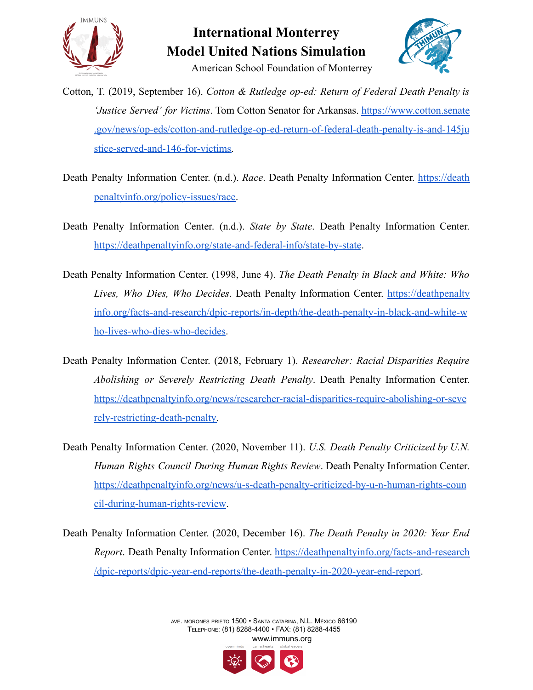

### **International Monterrey Model United Nations Simulation** American School Foundation of Monterrey



Cotton, T. (2019, September 16). *Cotton & Rutledge op-ed: Return of Federal Death Penalty is 'Justice Served' for Victims*. Tom Cotton Senator for Arkansas. [https://www.cotton.senate](https://www.cotton.senate.gov/news/op-eds/cotton-and-rutledge-op-ed-return-of-federal-death-penalty-is-and-145justice-served-and-146-for-victims) [.gov/news/op-eds/cotton-and-rutledge-op-ed-return-of-federal-death-penalty-is-and-145ju](https://www.cotton.senate.gov/news/op-eds/cotton-and-rutledge-op-ed-return-of-federal-death-penalty-is-and-145justice-served-and-146-for-victims) [stice-served-and-146-for-victims.](https://www.cotton.senate.gov/news/op-eds/cotton-and-rutledge-op-ed-return-of-federal-death-penalty-is-and-145justice-served-and-146-for-victims)

- Death Penalty Information Center. (n.d.). *Race*. Death Penalty Information Center. [https://death](https://deathpenaltyinfo.org/policy-issues/race) [penaltyinfo.org/policy-issues/race.](https://deathpenaltyinfo.org/policy-issues/race)
- Death Penalty Information Center. (n.d.). *State by State*. Death Penalty Information Center. <https://deathpenaltyinfo.org/state-and-federal-info/state-by-state>.
- Death Penalty Information Center. (1998, June 4). *The Death Penalty in Black and White: Who Lives, Who Dies, Who Decides*. Death Penalty Information Center. [https://deathpenalty](https://deathpenaltyinfo.org/facts-and-research/dpic-reports/in-depth/the-death-penalty-in-black-and-white-who-lives-who-dies-who-decides) [info.org/facts-and-research/dpic-reports/in-depth/the-death-penalty-in-black-and-white-w](https://deathpenaltyinfo.org/facts-and-research/dpic-reports/in-depth/the-death-penalty-in-black-and-white-who-lives-who-dies-who-decides) [ho-lives-who-dies-who-decides](https://deathpenaltyinfo.org/facts-and-research/dpic-reports/in-depth/the-death-penalty-in-black-and-white-who-lives-who-dies-who-decides).
- Death Penalty Information Center. (2018, February 1). *Researcher: Racial Disparities Require Abolishing or Severely Restricting Death Penalty*. Death Penalty Information Center. [https://deathpenaltyinfo.org/news/researcher-racial-disparities-require-abolishing-or-seve](https://deathpenaltyinfo.org/news/researcher-racial-disparities-require-abolishing-or-severely-restricting-death-penalty) [rely-restricting-death-penalty.](https://deathpenaltyinfo.org/news/researcher-racial-disparities-require-abolishing-or-severely-restricting-death-penalty)
- Death Penalty Information Center. (2020, November 11). *U.S. Death Penalty Criticized by U.N. Human Rights Council During Human Rights Review*. Death Penalty Information Center. [https://deathpenaltyinfo.org/news/u-s-death-penalty-criticized-by-u-n-human-rights-coun](https://deathpenaltyinfo.org/news/u-s-death-penalty-criticized-by-u-n-human-rights-council-during-human-rights-review) [cil-during-human-rights-review.](https://deathpenaltyinfo.org/news/u-s-death-penalty-criticized-by-u-n-human-rights-council-during-human-rights-review)
- Death Penalty Information Center. (2020, December 16). *The Death Penalty in 2020: Year End Report*. Death Penalty Information Center. [https://deathpenaltyinfo.org/facts-and-research](https://deathpenaltyinfo.org/facts-and-research/dpic-reports/dpic-year-end-reports/the-death-penalty-in-2020-year-end-report) [/dpic-reports/dpic-year-end-reports/the-death-penalty-in-2020-year-end-report](https://deathpenaltyinfo.org/facts-and-research/dpic-reports/dpic-year-end-reports/the-death-penalty-in-2020-year-end-report).

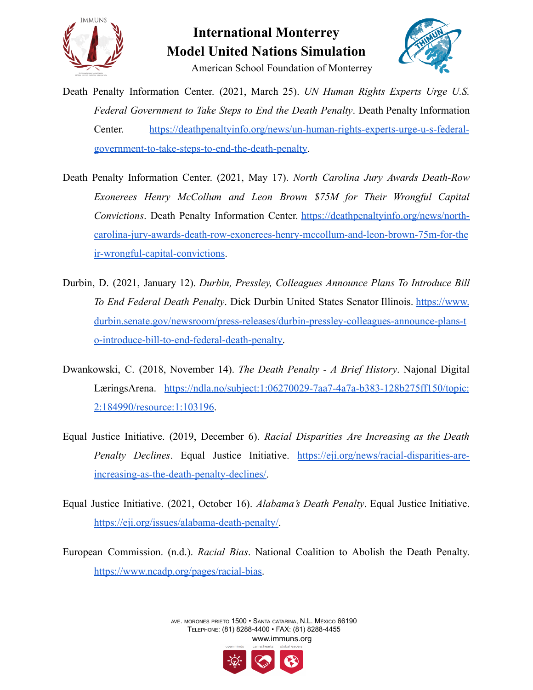



- Death Penalty Information Center. (2021, March 25). *UN Human Rights Experts Urge U.S. Federal Government to Take Steps to End the Death Penalty*. Death Penalty Information Center. [https://deathpenaltyinfo.org/news/un-human-rights-experts-urge-u-s-federal](https://deathpenaltyinfo.org/news/un-human-rights-experts-urge-u-s-federal-government-to-take-steps-to-end-the-death-penalty)[government-to-take-steps-to-end-the-death-penalty](https://deathpenaltyinfo.org/news/un-human-rights-experts-urge-u-s-federal-government-to-take-steps-to-end-the-death-penalty).
- Death Penalty Information Center. (2021, May 17). *North Carolina Jury Awards Death-Row Exonerees Henry McCollum and Leon Brown \$75M for Their Wrongful Capital Convictions*. Death Penalty Information Center. [https://deathpenaltyinfo.org/news/north](https://deathpenaltyinfo.org/news/north-carolina-jury-awards-death-row-exonerees-henry-mccollum-and-leon-brown-75m-for-their-wrongful-capital-convictions)[carolina-jury-awards-death-row-exonerees-henry-mccollum-and-leon-brown-75m-for-the](https://deathpenaltyinfo.org/news/north-carolina-jury-awards-death-row-exonerees-henry-mccollum-and-leon-brown-75m-for-their-wrongful-capital-convictions) [ir-wrongful-capital-convictions](https://deathpenaltyinfo.org/news/north-carolina-jury-awards-death-row-exonerees-henry-mccollum-and-leon-brown-75m-for-their-wrongful-capital-convictions).
- Durbin, D. (2021, January 12). *Durbin, Pressley, Colleagues Announce Plans To Introduce Bill To End Federal Death Penalty*. Dick Durbin United States Senator Illinois. [https://www.](https://www.durbin.senate.gov/newsroom/press-releases/durbin-pressley-colleagues-announce-plans-to-introduce-bill-to-end-federal-death-penalty) [durbin.senate.gov/newsroom/press-releases/durbin-pressley-colleagues-announce-plans-t](https://www.durbin.senate.gov/newsroom/press-releases/durbin-pressley-colleagues-announce-plans-to-introduce-bill-to-end-federal-death-penalty) [o-introduce-bill-to-end-federal-death-penalty.](https://www.durbin.senate.gov/newsroom/press-releases/durbin-pressley-colleagues-announce-plans-to-introduce-bill-to-end-federal-death-penalty)
- Dwankowski, C. (2018, November 14). *The Death Penalty - A Brief History*. Najonal Digital LæringsArena. [https://ndla.no/subject:1:06270029-7aa7-4a7a-b383-128b275ff150/topic:](https://ndla.no/subject:1:06270029-7aa7-4a7a-b383-128b275ff150/topic:2:184990/resource:1:103196) [2:184990/resource:1:103196.](https://ndla.no/subject:1:06270029-7aa7-4a7a-b383-128b275ff150/topic:2:184990/resource:1:103196)
- Equal Justice Initiative. (2019, December 6). *Racial Disparities Are Increasing as the Death Penalty Declines*. Equal Justice Initiative. [https://eji.org/news/racial-disparities-are](https://eji.org/news/racial-disparities-are-increasing-as-the-death-penalty-declines/)[increasing-as-the-death-penalty-declines/.](https://eji.org/news/racial-disparities-are-increasing-as-the-death-penalty-declines/)
- Equal Justice Initiative. (2021, October 16). *Alabama's Death Penalty*. Equal Justice Initiative. <https://eji.org/issues/alabama-death-penalty/>.
- European Commission. (n.d.). *Racial Bias*. National Coalition to Abolish the Death Penalty. [https://www.ncadp.org/pages/racial-bias.](https://www.ncadp.org/pages/racial-bias)

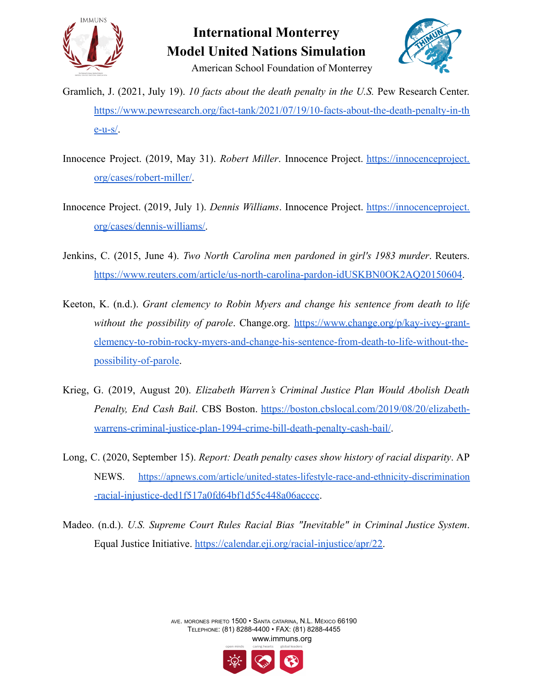

### **International Monterrey Model United Nations Simulation** American School Foundation of Monterrey



Gramlich, J. (2021, July 19). *10 facts about the death penalty in the U.S.* Pew Research Center. [https://www.pewresearch.org/fact-tank/2021/07/19/10-facts-about-the-death-penalty-in-th](https://www.pewresearch.org/fact-tank/2021/07/19/10-facts-about-the-death-penalty-in-the-u-s/)  $e$ -u-s $/$ .

- Innocence Project. (2019, May 31). *Robert Miller*. Innocence Project. [https://innocenceproject.](https://innocenceproject.org/cases/robert-miller/) [org/cases/robert-miller/](https://innocenceproject.org/cases/robert-miller/).
- Innocence Project. (2019, July 1). *Dennis Williams*. Innocence Project. [https://innocenceproject.](https://innocenceproject.org/cases/dennis-williams/) [org/cases/dennis-williams/.](https://innocenceproject.org/cases/dennis-williams/)
- Jenkins, C. (2015, June 4). *Two North Carolina men pardoned in girl's 1983 murder*. Reuters. https://www.reuters.com/article/us-north-carolina-pardon-idUSKBN0OK2AO20150604.
- Keeton, K. (n.d.). *Grant clemency to Robin Myers and change his sentence from death to life without the possibility of parole*. Change.org. [https://www.change.org/p/kay-ivey-grant](https://www.change.org/p/kay-ivey-grant-clemency-to-robin-rocky-myers-and-change-his-sentence-from-death-to-life-without-the-possibility-of-parole)[clemency-to-robin-rocky-myers-and-change-his-sentence-from-death-to-life-without-the](https://www.change.org/p/kay-ivey-grant-clemency-to-robin-rocky-myers-and-change-his-sentence-from-death-to-life-without-the-possibility-of-parole)[possibility-of-parole.](https://www.change.org/p/kay-ivey-grant-clemency-to-robin-rocky-myers-and-change-his-sentence-from-death-to-life-without-the-possibility-of-parole)
- Krieg, G. (2019, August 20). *Elizabeth Warren's Criminal Justice Plan Would Abolish Death Penalty, End Cash Bail*. CBS Boston. [https://boston.cbslocal.com/2019/08/20/elizabeth](https://boston.cbslocal.com/2019/08/20/elizabeth-warrens-criminal-justice-plan-1994-crime-bill-death-penalty-cash-bail/)[warrens-criminal-justice-plan-1994-crime-bill-death-penalty-cash-bail/](https://boston.cbslocal.com/2019/08/20/elizabeth-warrens-criminal-justice-plan-1994-crime-bill-death-penalty-cash-bail/).
- Long, C. (2020, September 15). *Report: Death penalty cases show history of racial disparity*. AP NEWS. [https://apnews.com/article/united-states-lifestyle-race-and-ethnicity-discrimination](https://apnews.com/article/united-states-lifestyle-race-and-ethnicity-discrimination-racial-injustice-ded1f517a0fd64bf1d55c448a06acccc) [-racial-injustice-ded1f517a0fd64bf1d55c448a06acccc](https://apnews.com/article/united-states-lifestyle-race-and-ethnicity-discrimination-racial-injustice-ded1f517a0fd64bf1d55c448a06acccc).
- Madeo. (n.d.). *U.S. Supreme Court Rules Racial Bias "Inevitable" in Criminal Justice System*. Equal Justice Initiative. [https://calendar.eji.org/racial-injustice/apr/22.](https://calendar.eji.org/racial-injustice/apr/22)

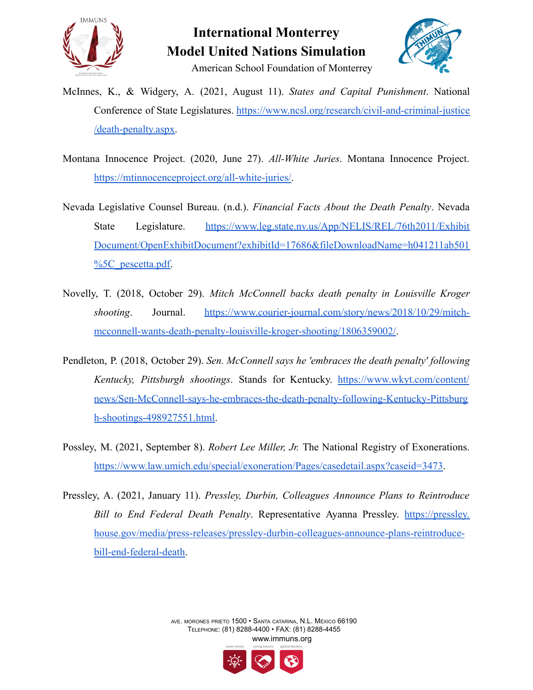



- McInnes, K., & Widgery, A. (2021, August 11). *States and Capital Punishment*. National Conference of State Legislatures. [https://www.ncsl.org/research/civil-and-criminal-justice](https://www.ncsl.org/research/civil-and-criminal-justice/death-penalty.aspx) [/death-penalty.aspx.](https://www.ncsl.org/research/civil-and-criminal-justice/death-penalty.aspx)
- Montana Innocence Project. (2020, June 27). *All-White Juries*. Montana Innocence Project. [https://mtinnocenceproject.org/all-white-juries/.](https://mtinnocenceproject.org/all-white-juries/)
- Nevada Legislative Counsel Bureau. (n.d.). *Financial Facts About the Death Penalty*. Nevada State Legislature. [https://www.leg.state.nv.us/App/NELIS/REL/76th2011/Exhibit](https://www.leg.state.nv.us/App/NELIS/REL/76th2011/ExhibitDocument/OpenExhibitDocument?exhibitId=17686&fileDownloadName=h041211ab501%5C_pescetta.pdf) [Document/OpenExhibitDocument?exhibitId=17686&fileDownloadName=h041211ab501](https://www.leg.state.nv.us/App/NELIS/REL/76th2011/ExhibitDocument/OpenExhibitDocument?exhibitId=17686&fileDownloadName=h041211ab501%5C_pescetta.pdf) [%5C\\_pescetta.pdf.](https://www.leg.state.nv.us/App/NELIS/REL/76th2011/ExhibitDocument/OpenExhibitDocument?exhibitId=17686&fileDownloadName=h041211ab501%5C_pescetta.pdf)
- Novelly, T. (2018, October 29). *Mitch McConnell backs death penalty in Louisville Kroger shooting*. Journal. [https://www.courier-journal.com/story/news/2018/10/29/mitch](https://www.courier-journal.com/story/news/2018/10/29/mitch-mcconnell-wants-death-penalty-louisville-kroger-shooting/1806359002/)[mcconnell-wants-death-penalty-louisville-kroger-shooting/1806359002/](https://www.courier-journal.com/story/news/2018/10/29/mitch-mcconnell-wants-death-penalty-louisville-kroger-shooting/1806359002/).
- Pendleton, P. (2018, October 29). *Sen. McConnell says he 'embraces the death penalty' following Kentucky, Pittsburgh shootings*. Stands for Kentucky. [https://www.wkyt.com/content/](https://www.wkyt.com/content/news/Sen-McConnell-says-he-embraces-the-death-penalty-following-Kentucky-Pittsburgh-shootings-498927551.html) [news/Sen-McConnell-says-he-embraces-the-death-penalty-following-Kentucky-Pittsburg](https://www.wkyt.com/content/news/Sen-McConnell-says-he-embraces-the-death-penalty-following-Kentucky-Pittsburgh-shootings-498927551.html) [h-shootings-498927551.html](https://www.wkyt.com/content/news/Sen-McConnell-says-he-embraces-the-death-penalty-following-Kentucky-Pittsburgh-shootings-498927551.html).
- Possley, M. (2021, September 8). *Robert Lee Miller, Jr.* The National Registry of Exonerations. <https://www.law.umich.edu/special/exoneration/Pages/casedetail.aspx?caseid=3473>.
- Pressley, A. (2021, January 11). *Pressley, Durbin, Colleagues Announce Plans to Reintroduce Bill to End Federal Death Penalty*. Representative Ayanna Pressley. [https://pressley.](https://pressley.house.gov/media/press-releases/pressley-durbin-colleagues-announce-plans-reintroduce-bill-end-federal-death) [house.gov/media/press-releases/pressley-durbin-colleagues-announce-plans-reintroduce](https://pressley.house.gov/media/press-releases/pressley-durbin-colleagues-announce-plans-reintroduce-bill-end-federal-death)[bill-end-federal-death.](https://pressley.house.gov/media/press-releases/pressley-durbin-colleagues-announce-plans-reintroduce-bill-end-federal-death)

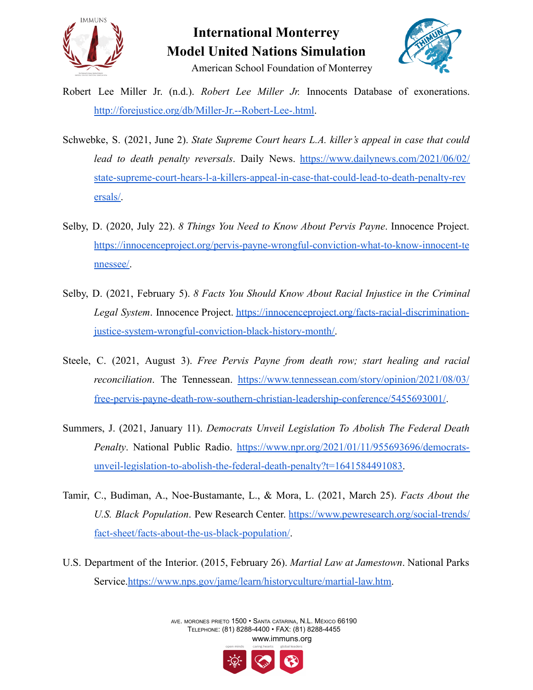



- Robert Lee Miller Jr. (n.d.). *Robert Lee Miller Jr.* Innocents Database of exonerations. <http://forejustice.org/db/Miller-Jr.--Robert-Lee-.html>.
- Schwebke, S. (2021, June 2). *State Supreme Court hears L.A. killer's appeal in case that could lead to death penalty reversals*. Daily News. [https://www.dailynews.com/2021/06/02/](https://www.dailynews.com/2021/06/02/state-supreme-court-hears-l-a-killers-appeal-in-case-that-could-lead-to-death-penalty-reversals/) [state-supreme-court-hears-l-a-killers-appeal-in-case-that-could-lead-to-death-penalty-rev](https://www.dailynews.com/2021/06/02/state-supreme-court-hears-l-a-killers-appeal-in-case-that-could-lead-to-death-penalty-reversals/) [ersals/.](https://www.dailynews.com/2021/06/02/state-supreme-court-hears-l-a-killers-appeal-in-case-that-could-lead-to-death-penalty-reversals/)
- Selby, D. (2020, July 22). *8 Things You Need to Know About Pervis Payne*. Innocence Project. [https://innocenceproject.org/pervis-payne-wrongful-conviction-what-to-know-innocent-te](https://innocenceproject.org/pervis-payne-wrongful-conviction-what-to-know-innocent-tennessee/) [nnessee/.](https://innocenceproject.org/pervis-payne-wrongful-conviction-what-to-know-innocent-tennessee/)
- Selby, D. (2021, February 5). *8 Facts You Should Know About Racial Injustice in the Criminal Legal System*. Innocence Project. [https://innocenceproject.org/facts-racial-discrimination](https://innocenceproject.org/facts-racial-discrimination-justice-system-wrongful-conviction-black-history-month/)[justice-system-wrongful-conviction-black-history-month/.](https://innocenceproject.org/facts-racial-discrimination-justice-system-wrongful-conviction-black-history-month/)
- Steele, C. (2021, August 3). *Free Pervis Payne from death row; start healing and racial reconciliation*. The Tennessean. [https://www.tennessean.com/story/opinion/2021/08/03/](https://www.tennessean.com/story/opinion/2021/08/03/free-pervis-payne-death-row-southern-christian-leadership-conference/5455693001/) [free-pervis-payne-death-row-southern-christian-leadership-conference/5455693001/](https://www.tennessean.com/story/opinion/2021/08/03/free-pervis-payne-death-row-southern-christian-leadership-conference/5455693001/).
- Summers, J. (2021, January 11). *Democrats Unveil Legislation To Abolish The Federal Death Penalty*. National Public Radio. [https://www.npr.org/2021/01/11/955693696/democrats](https://www.npr.org/2021/01/11/955693696/democrats-unveil-legislation-to-abolish-the-federal-death-penalty?t=1641584491083)[unveil-legislation-to-abolish-the-federal-death-penalty?t=1641584491083.](https://www.npr.org/2021/01/11/955693696/democrats-unveil-legislation-to-abolish-the-federal-death-penalty?t=1641584491083)
- Tamir, C., Budiman, A., Noe-Bustamante, L., & Mora, L. (2021, March 25). *Facts About the U.S. Black Population*. Pew Research Center. [https://www.pewresearch.org/social-trends/](https://www.pewresearch.org/social-trends/fact-sheet/facts-about-the-us-black-population/) [fact-sheet/facts-about-the-us-black-population/](https://www.pewresearch.org/social-trends/fact-sheet/facts-about-the-us-black-population/).
- U.S. Department of the Interior. (2015, February 26). *Martial Law at Jamestown*. National Parks Service.[https://www.nps.gov/jame/learn/historyculture/martial-law.htm.](https://www.nps.gov/jame/learn/historyculture/martial-law.htm)